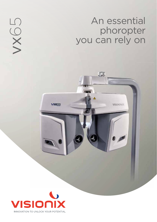## An essential phoropter you can rely on

**VISICONIX** 

页



**VX** 

VXO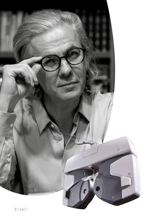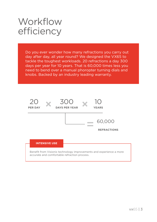# Workflow efficiency

Do you ever wonder how many refractions you carry out day after day, all year round? We designed the VX65 to tackle the toughest workloads. 20 refractions a day 300 days per year for 10 years. That is 60,000 times less you need to bend over a manual phoropter turning dials and knobs. Backed by an industry leading warranty.



Benefit from Visionix technology improvements and experience a more accurate and comfortable refraction process.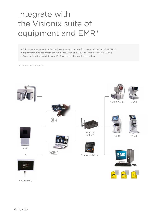### Integrate with the Visionix suite of equipment and EMR\*

- Full data management dashboard to manage your data from external devices (EMR/ARK)
- Import data wirelessly from other devices (such as AR/K and lensometers) via VXbox
- Export refraction data into your EMR system at the touch of a button

\* Electronic medical reports

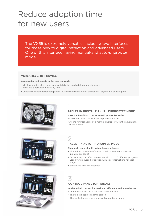### Reduce adoption time for new users

The VX65 is extremely versatile, including two interfaces for those new to digital refraction and advanced users. One of this interface having manual-and auto-phoropter mode.

#### **VERSATILE 3-IN-1 DEVICE:**

#### **A phoropter that adapts to the way you work.**

- Ideal for multi-skilled practices: switch between digital manual phoropter and auto-phoropter mode any time
- Control the entire refraction process with either the tablet or an optional ergonomic control panel



### **TABLET IN DIGITAL MANUAL PHOROPTER MODE** 1

#### **Make the transition to an automatic phoropter easier**

- Dedicated interface for manual phoropter users
- All the functionalities of a manual phoropter with the advantages of automation





### 2

#### **TABLET IN AUTO-PHOROPTER MODE**

#### **Standardize and simplify refraction experiences**

- All the functionalities of an automatic phoropter embedded in a wireless tablet
- Customize your refraction routine with up to 6 different programs: Step by step guided refraction with clear instructions for each stage
- Simple and efficient interface

### 3

#### **CONTROL PANEL (OPTIONAL)**

#### **Add physical controls for maximum efficiency and intensive use**

- Immediate access to a set of essential buttons
- The tablet becomes a large screen
- The control panel also comes with an optional stand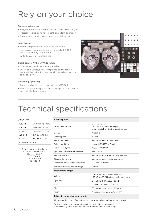## Rely on your choice

#### **Precise engineering**

- Rugged materials and components for excellent longevity
- Precisely tooled parts for smooth and silent operation
- Speedy lens transitions and startup initialization

#### **Long lasting**

- Better components for maximum durability
- Mechanical components tested to handle 60,000 refractions during their lifetime
- Up to 10 years of intensive use

#### **Chart Control VX25 or VX22 family**

- Complete control, right from the tablet
- Charts and Optotypes are displayed on the tablet: see what the patient is reading without adjusting your body position

#### **Recording / printing**

- Record and print a pdf report via the VXBOXIII
- Print a ticket direclty from the VX65 application 1.2 on an external Bluetooth printer



### Technical specifications

Auxiliary lens

#### DIMENSIONS:

| WIDTH            | 350 mm (13.78 in.) |
|------------------|--------------------|
| DEPTH            | 80 mm (3.15 in.)   |
| HFIGHT           | 280 mm (11.02 in.) |
| WFIGHT           | 3.8 Kg (8.38 lbs)  |
| VOLTAGE          | DC 24 V - 60w      |
| <b>STANDARDS</b> | CΕ                 |

Compliance with Regulation EU 2017/745 on medical devices - Class I" IEC 60601-1 IEC 60601-1-2 ISO 15004-1

| Cross cylinder lens                                                             | $\pm$ 0,25 D / $\pm$ 0,50 D<br>Dual cross cylinder with split<br>prism available with the auto interface |  |
|---------------------------------------------------------------------------------|----------------------------------------------------------------------------------------------------------|--|
| Occluder                                                                        | Available                                                                                                |  |
| Pinhole plate                                                                   | $\alpha$ 2 mm                                                                                            |  |
| Red>green filter                                                                | Right eye: red, Left eye: green                                                                          |  |
| Polarising filters                                                              | Linear (45°/135°) / Circular                                                                             |  |
| Fixed cross cylinder lens                                                       | $+0.50$ (-1.00) 90 $^{\circ}$                                                                            |  |
| Spherical lenses for retinoscope                                                | +1.5 D $/$ +2.0 D                                                                                        |  |
| Red maddox rod                                                                  | Right eye: horizontal, Left eye: vertical                                                                |  |
| Dissociation prism                                                              | Right eye: 6 ∆BU / Left eye: 10∆BI                                                                       |  |
| Refraction distance for near vision                                             | 150 mm - 700 mm                                                                                          |  |
| Forehead rest adjustment range                                                  | $12 \text{ mm}$                                                                                          |  |
| Measurable range                                                                |                                                                                                          |  |
| Sphere                                                                          | - 29.00 to +26.75 D min step 0.25<br>- 19.00 to +16.75 D (Cross cylinder, prism)                         |  |
| Cylinder                                                                        | 0 to ±8,75 D (Min step: 0,25 D)                                                                          |  |
| Axis                                                                            | 0 to 180° min step 1° / 5° / 10°                                                                         |  |
| PD                                                                              | 50 to 80 mm (min step 0.5mm)                                                                             |  |
| Prism                                                                           | 0 to 20 $\Delta$ (min step : 0,5 $\Delta$ / 1,0 $\Delta$ )                                               |  |
| Tablet in auto-phoropter mode                                                   |                                                                                                          |  |
| All the functionalities of an automatic phoropter embedded in a wireless tablet |                                                                                                          |  |

Customize your refraction routine with up to 6 different programs: step by step guided refraction with clear instructions for each stage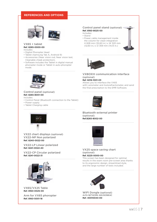#### **REFERENCES AND OPTIONS**



#### VX65 + tablet Ref. 8265-0000-00

#### Includes:

- Digital Phoropter Head
- Tablet (Samsung Tab A, Android 9)
- Accessories (Near vision rod, Near vision test, Cleanable cheek protection).
- Software includes the Tablet in digital manual phoropter mode or Tablet in auto-phoropter mode.



#### Control panel (optional) Ref. 8265-8001-00 Includes:

- Control Panel (Bluetooth connection to the Tablet)
- Power supply
- Tablet Charging cable



VX22 chart displays (optional) VX22-NP Non polarized Ref. 8240-0022-00

VX22-LP Linear polarized Ref. 8241-0022-40

VX22-CP Circular polarized Ref. 8241-0022-31



VX65/VX25 Table Ref. 8160-0025-00

Arm for VX65 phoropter Ref. 8160-5001-18

#### Control panel stand (optional) Ref. 8160-8025-00 Includes:

• Stand

• Power cable management inside the column for clean integration H 828 mm (32,60 in.) x W 320 mm (12,60 in.) x D 359 mm (14,13 in.)



#### VXBOXIII communication interface (optional)

Ref. 8216-1001-03 Allows you to interface the VX65 with Lensmeter and Autorefractometer, and send the final prescription to the EMR Software.



Bluetooth external printer (optional) Ref.8265-8002-00



#### VX25 space saving chart (optional) Ref. 8225-0000-00

This screen has been designed for optimal results in the exam room pre-screen area thanks to its ergonomic design, streamlined style, and the large number of tests included.



WIFI Dongle (optional) ALFA NETWORK AWUS036EAC Ref. 40010043-00